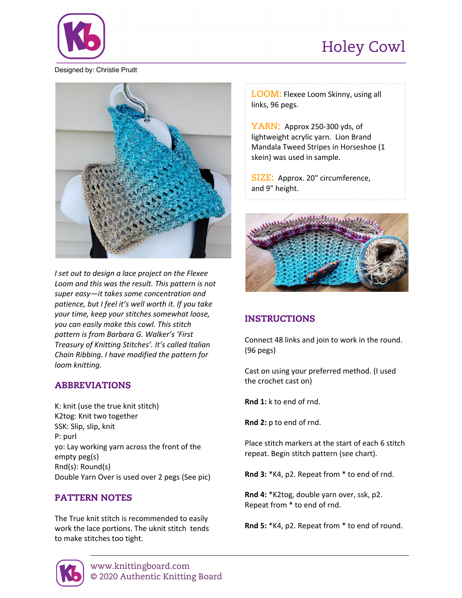## Holey Cowl



Designed by: Christie Pruitt



*I set out to design a lace project on the Flexee Loom and this was the result. This pattern is not super easy—it takes some concentration and patience, but I feel it's well worth it. If you take your time, keep your stitches somewhat loose, you can easily make this cowl. This stitch pattern is from Barbara G. Walker's 'First Treasury of Knitting Stitches'. It's called Italian Chain Ribbing. I have modified the pattern for loom knitting.*

### ABBREVIATIONS

K: knit (use the true knit stitch) K2tog: Knit two together SSK: Slip, slip, knit P: purl yo: Lay working yarn across the front of the empty peg(s) Rnd(s): Round(s) Double Yarn Over is used over 2 pegs (See pic)

### PATTERN NOTES

The True knit stitch is recommended to easily work the lace portions. The uknit stitch tends to make stitches too tight.

**LOOM:** Flexee Loom Skinny, using all links, 96 pegs.

**YARN:** Approx 250-300 yds, of lightweight acrylic yarn. Lion Brand Mandala Tweed Stripes in Horseshoe (1 skein) was used in sample.

**SIZE:** Approx. 20" circumference, and 9" height.



## INSTRUCTIONS

Connect 48 links and join to work in the round. (96 pegs)

Cast on using your preferred method. (I used the crochet cast on)

**Rnd 1:** k to end of rnd.

**Rnd 2:** p to end of rnd.

Place stitch markers at the start of each 6 stitch repeat. Begin stitch pattern (see chart).

**Rnd 3:** \*K4, p2. Repeat from \* to end of rnd.

**Rnd 4:** \*K2tog, double yarn over, ssk, p2. Repeat from \* to end of rnd.

**Rnd 5:** \*K4, p2. Repeat from \* to end of round.